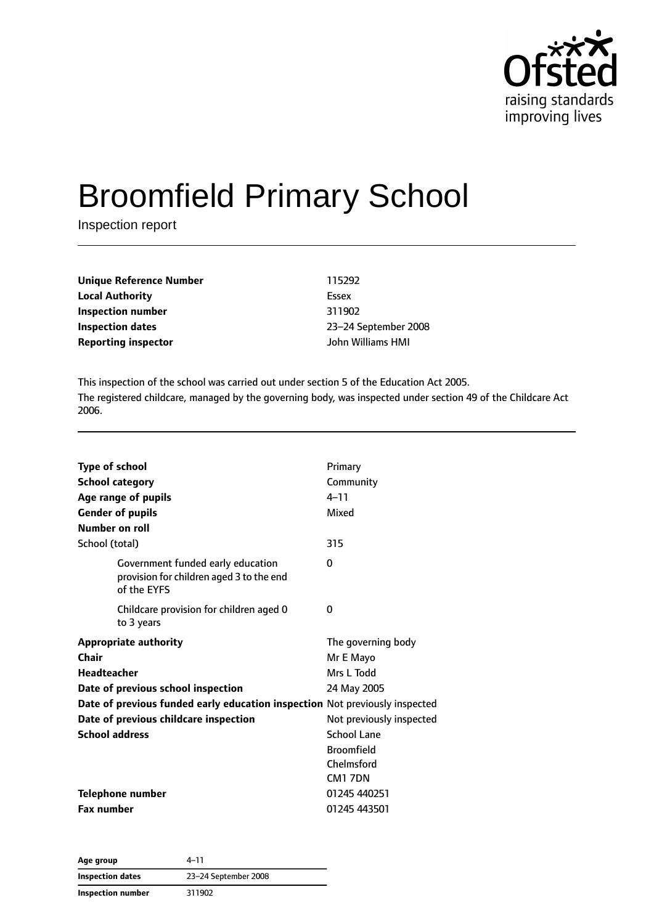

# Broomfield Primary School

Inspection report

| Unique Reference Number | 115292               |
|-------------------------|----------------------|
| Local Authority         | Essex                |
| Inspection number       | 311902               |
| Inspection dates        | 23-24 September 2008 |
| Reporting inspector     | John Williams HMI    |
|                         |                      |

This inspection of the school was carried out under section 5 of the Education Act 2005. The registered childcare, managed by the governing body, was inspected under section 49 of the Childcare Act 2006.

| <b>Type of school</b><br><b>School category</b><br>Age range of pupils<br><b>Gender of pupils</b><br>Number on roll | Primary<br>Community<br>$4 - 11$<br>Mixed |  |
|---------------------------------------------------------------------------------------------------------------------|-------------------------------------------|--|
| School (total)                                                                                                      | 315                                       |  |
| Government funded early education<br>provision for children aged 3 to the end<br>of the EYFS                        | 0                                         |  |
| Childcare provision for children aged 0<br>to 3 years                                                               | 0                                         |  |
| <b>Appropriate authority</b>                                                                                        | The governing body                        |  |
| Chair                                                                                                               | Mr E Mayo                                 |  |
| <b>Headteacher</b>                                                                                                  | Mrs L Todd                                |  |
| Date of previous school inspection                                                                                  | 24 May 2005                               |  |
| Date of previous funded early education inspection Not previously inspected                                         |                                           |  |
| Date of previous childcare inspection                                                                               | Not previously inspected                  |  |
| <b>School address</b>                                                                                               | School Lane                               |  |
|                                                                                                                     | <b>Broomfield</b>                         |  |
|                                                                                                                     | Chelmsford                                |  |
|                                                                                                                     | CM17DN                                    |  |
| <b>Telephone number</b>                                                                                             | 01245 440251                              |  |
| <b>Fax number</b>                                                                                                   | 01245 443501                              |  |

| Age group         | 4–11                 |
|-------------------|----------------------|
| Inspection dates  | 23-24 September 2008 |
| Inspection number | 311902               |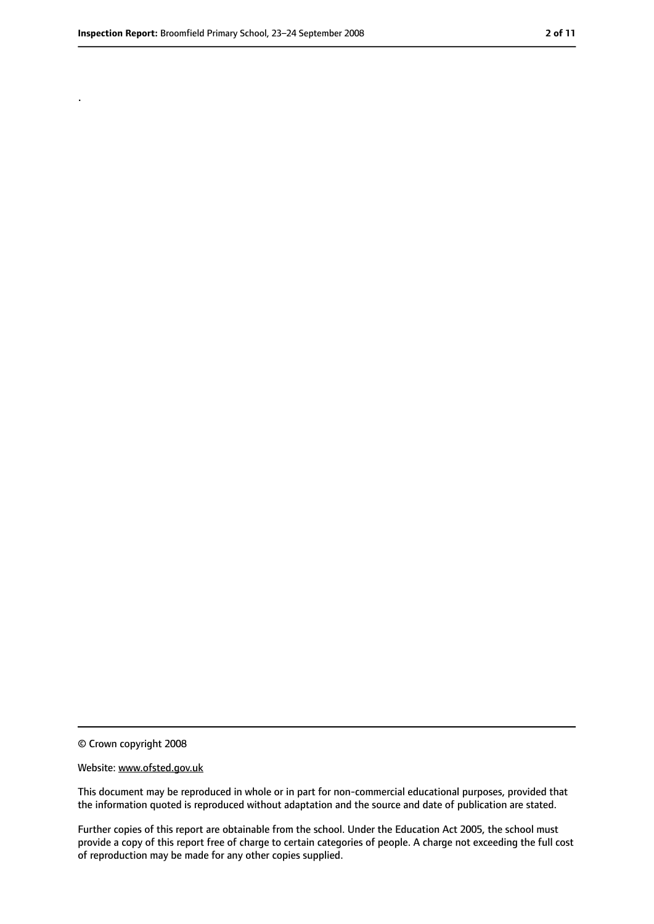.

<sup>©</sup> Crown copyright 2008

Website: www.ofsted.gov.uk

This document may be reproduced in whole or in part for non-commercial educational purposes, provided that the information quoted is reproduced without adaptation and the source and date of publication are stated.

Further copies of this report are obtainable from the school. Under the Education Act 2005, the school must provide a copy of this report free of charge to certain categories of people. A charge not exceeding the full cost of reproduction may be made for any other copies supplied.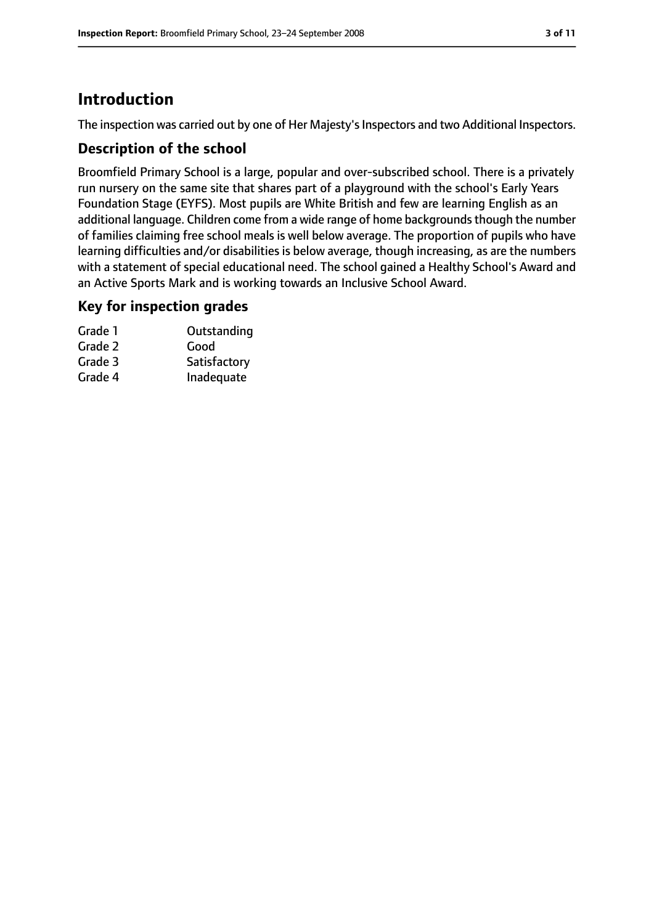# **Introduction**

The inspection was carried out by one of Her Majesty's Inspectors and two Additional Inspectors.

#### **Description of the school**

Broomfield Primary School is a large, popular and over-subscribed school. There is a privately run nursery on the same site that shares part of a playground with the school's Early Years Foundation Stage (EYFS). Most pupils are White British and few are learning English as an additional language. Children come from a wide range of home backgrounds though the number of families claiming free school meals is well below average. The proportion of pupils who have learning difficulties and/or disabilities is below average, though increasing, as are the numbers with a statement of special educational need. The school gained a Healthy School's Award and an Active Sports Mark and is working towards an Inclusive School Award.

#### **Key for inspection grades**

| Grade 1 | Outstanding  |
|---------|--------------|
| Grade 2 | Good         |
| Grade 3 | Satisfactory |
| Grade 4 | Inadequate   |
|         |              |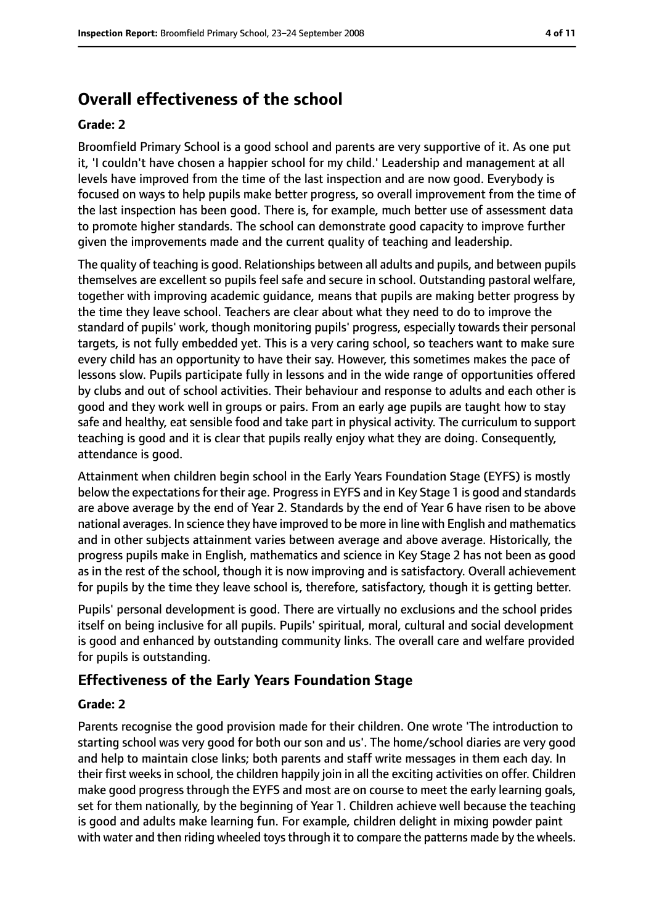# **Overall effectiveness of the school**

#### **Grade: 2**

Broomfield Primary School is a good school and parents are very supportive of it. As one put it, 'I couldn't have chosen a happier school for my child.' Leadership and management at all levels have improved from the time of the last inspection and are now good. Everybody is focused on ways to help pupils make better progress, so overall improvement from the time of the last inspection has been good. There is, for example, much better use of assessment data to promote higher standards. The school can demonstrate good capacity to improve further given the improvements made and the current quality of teaching and leadership.

The quality of teaching is good. Relationships between all adults and pupils, and between pupils themselves are excellent so pupils feel safe and secure in school. Outstanding pastoral welfare, together with improving academic guidance, means that pupils are making better progress by the time they leave school. Teachers are clear about what they need to do to improve the standard of pupils' work, though monitoring pupils' progress, especially towards their personal targets, is not fully embedded yet. This is a very caring school, so teachers want to make sure every child has an opportunity to have their say. However, this sometimes makes the pace of lessons slow. Pupils participate fully in lessons and in the wide range of opportunities offered by clubs and out of school activities. Their behaviour and response to adults and each other is good and they work well in groups or pairs. From an early age pupils are taught how to stay safe and healthy, eat sensible food and take part in physical activity. The curriculum to support teaching is good and it is clear that pupils really enjoy what they are doing. Consequently, attendance is good.

Attainment when children begin school in the Early Years Foundation Stage (EYFS) is mostly below the expectations for their age. Progress in EYFS and in Key Stage 1 is good and standards are above average by the end of Year 2. Standards by the end of Year 6 have risen to be above national averages. In science they have improved to be more in line with English and mathematics and in other subjects attainment varies between average and above average. Historically, the progress pupils make in English, mathematics and science in Key Stage 2 has not been as good as in the rest of the school, though it is now improving and is satisfactory. Overall achievement for pupils by the time they leave school is, therefore, satisfactory, though it is getting better.

Pupils' personal development is good. There are virtually no exclusions and the school prides itself on being inclusive for all pupils. Pupils' spiritual, moral, cultural and social development is good and enhanced by outstanding community links. The overall care and welfare provided for pupils is outstanding.

### **Effectiveness of the Early Years Foundation Stage**

#### **Grade: 2**

Parents recognise the good provision made for their children. One wrote 'The introduction to starting school was very good for both our son and us'. The home/school diaries are very good and help to maintain close links; both parents and staff write messages in them each day. In their first weeks in school, the children happily join in all the exciting activities on offer. Children make good progress through the EYFS and most are on course to meet the early learning goals, set for them nationally, by the beginning of Year 1. Children achieve well because the teaching is good and adults make learning fun. For example, children delight in mixing powder paint with water and then riding wheeled toys through it to compare the patterns made by the wheels.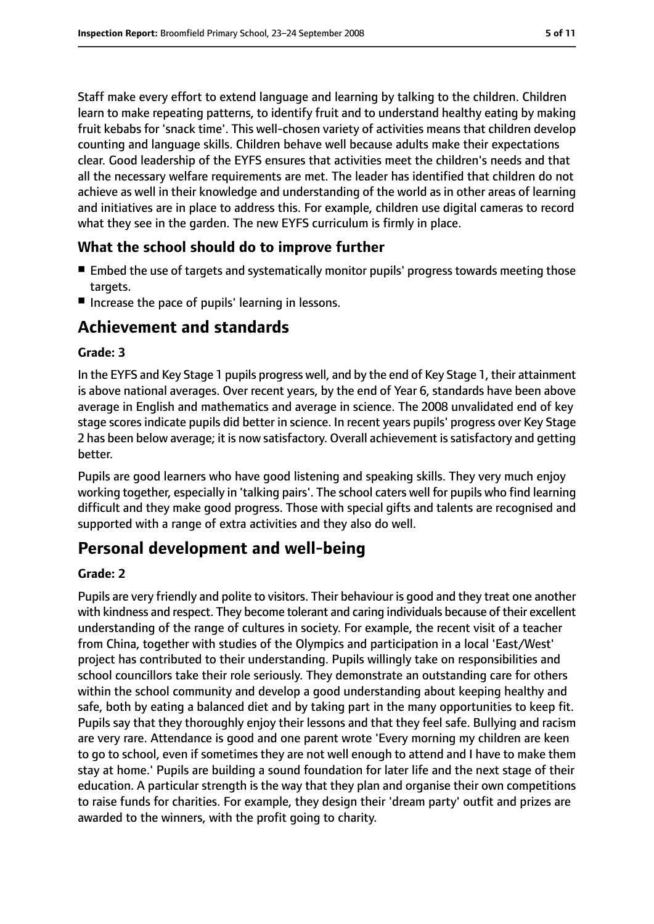Staff make every effort to extend language and learning by talking to the children. Children learn to make repeating patterns, to identify fruit and to understand healthy eating by making fruit kebabs for 'snack time'. This well-chosen variety of activities means that children develop counting and language skills. Children behave well because adults make their expectations clear. Good leadership of the EYFS ensures that activities meet the children's needs and that all the necessary welfare requirements are met. The leader has identified that children do not achieve as well in their knowledge and understanding of the world as in other areas of learning and initiatives are in place to address this. For example, children use digital cameras to record what they see in the garden. The new EYFS curriculum is firmly in place.

#### **What the school should do to improve further**

- Embed the use of targets and systematically monitor pupils' progress towards meeting those targets.
- Increase the pace of pupils' learning in lessons.

# **Achievement and standards**

#### **Grade: 3**

In the EYFS and Key Stage 1 pupils progress well, and by the end of Key Stage 1, their attainment is above national averages. Over recent years, by the end of Year 6, standards have been above average in English and mathematics and average in science. The 2008 unvalidated end of key stage scores indicate pupils did better in science. In recent years pupils' progress over Key Stage 2 has been below average; it is now satisfactory. Overall achievement is satisfactory and getting better.

Pupils are good learners who have good listening and speaking skills. They very much enjoy working together, especially in 'talking pairs'. The school caters well for pupils who find learning difficult and they make good progress. Those with special gifts and talents are recognised and supported with a range of extra activities and they also do well.

# **Personal development and well-being**

#### **Grade: 2**

Pupils are very friendly and polite to visitors. Their behaviour is good and they treat one another with kindness and respect. They become tolerant and caring individuals because of their excellent understanding of the range of cultures in society. For example, the recent visit of a teacher from China, together with studies of the Olympics and participation in a local 'East/West' project has contributed to their understanding. Pupils willingly take on responsibilities and school councillors take their role seriously. They demonstrate an outstanding care for others within the school community and develop a good understanding about keeping healthy and safe, both by eating a balanced diet and by taking part in the many opportunities to keep fit. Pupils say that they thoroughly enjoy their lessons and that they feel safe. Bullying and racism are very rare. Attendance is good and one parent wrote 'Every morning my children are keen to go to school, even if sometimes they are not well enough to attend and I have to make them stay at home.' Pupils are building a sound foundation for later life and the next stage of their education. A particular strength is the way that they plan and organise their own competitions to raise funds for charities. For example, they design their 'dream party' outfit and prizes are awarded to the winners, with the profit going to charity.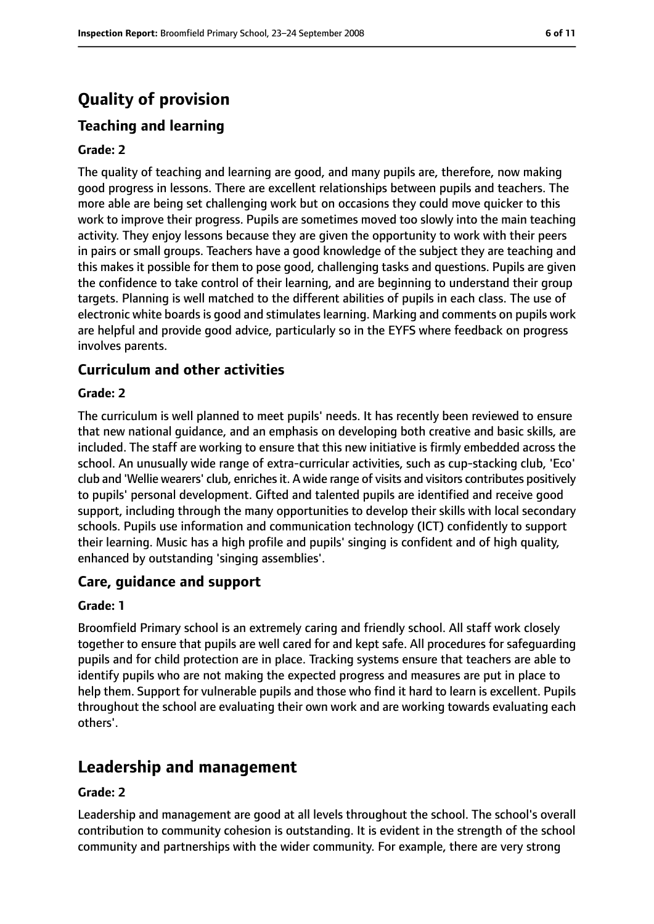# **Quality of provision**

# **Teaching and learning**

#### **Grade: 2**

The quality of teaching and learning are good, and many pupils are, therefore, now making good progress in lessons. There are excellent relationships between pupils and teachers. The more able are being set challenging work but on occasions they could move quicker to this work to improve their progress. Pupils are sometimes moved too slowly into the main teaching activity. They enjoy lessons because they are given the opportunity to work with their peers in pairs or small groups. Teachers have a good knowledge of the subject they are teaching and this makes it possible for them to pose good, challenging tasks and questions. Pupils are given the confidence to take control of their learning, and are beginning to understand their group targets. Planning is well matched to the different abilities of pupils in each class. The use of electronic white boards is good and stimulates learning. Marking and comments on pupils work are helpful and provide good advice, particularly so in the EYFS where feedback on progress involves parents.

#### **Curriculum and other activities**

#### **Grade: 2**

The curriculum is well planned to meet pupils' needs. It has recently been reviewed to ensure that new national guidance, and an emphasis on developing both creative and basic skills, are included. The staff are working to ensure that this new initiative is firmly embedded across the school. An unusually wide range of extra-curricular activities, such as cup-stacking club, 'Eco' club and 'Wellie wearers' club, enrichesit. A wide range of visits and visitors contributes positively to pupils' personal development. Gifted and talented pupils are identified and receive good support, including through the many opportunities to develop their skills with local secondary schools. Pupils use information and communication technology (ICT) confidently to support their learning. Music has a high profile and pupils' singing is confident and of high quality, enhanced by outstanding 'singing assemblies'.

#### **Care, guidance and support**

#### **Grade: 1**

Broomfield Primary school is an extremely caring and friendly school. All staff work closely together to ensure that pupils are well cared for and kept safe. All procedures for safeguarding pupils and for child protection are in place. Tracking systems ensure that teachers are able to identify pupils who are not making the expected progress and measures are put in place to help them. Support for vulnerable pupils and those who find it hard to learn is excellent. Pupils throughout the school are evaluating their own work and are working towards evaluating each others'.

# **Leadership and management**

#### **Grade: 2**

Leadership and management are good at all levels throughout the school. The school's overall contribution to community cohesion is outstanding. It is evident in the strength of the school community and partnerships with the wider community. For example, there are very strong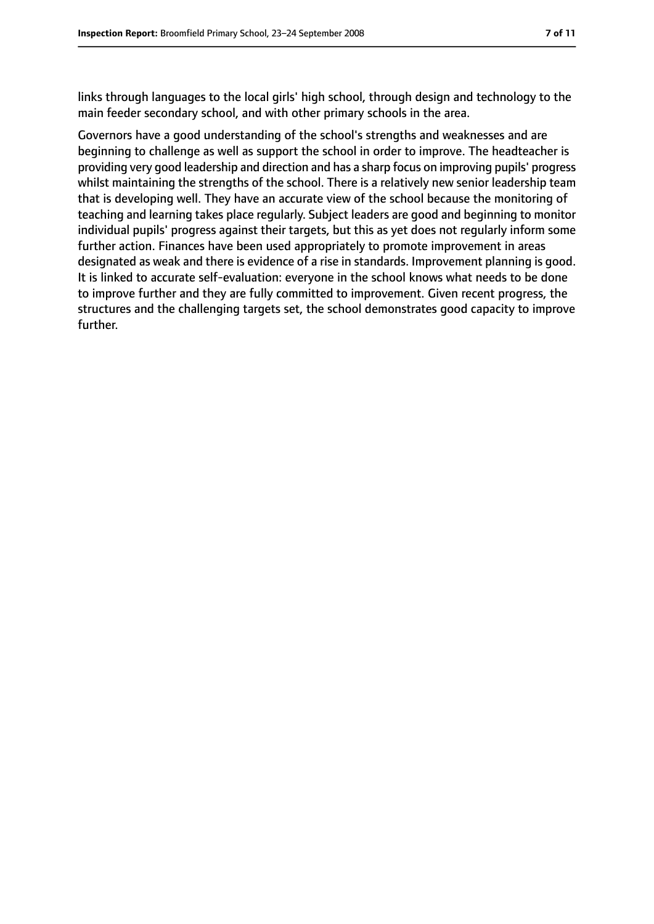links through languages to the local girls' high school, through design and technology to the main feeder secondary school, and with other primary schools in the area.

Governors have a good understanding of the school's strengths and weaknesses and are beginning to challenge as well as support the school in order to improve. The headteacher is providing very good leadership and direction and has a sharp focus on improving pupils' progress whilst maintaining the strengths of the school. There is a relatively new senior leadership team that is developing well. They have an accurate view of the school because the monitoring of teaching and learning takes place regularly. Subject leaders are good and beginning to monitor individual pupils' progress against their targets, but this as yet does not regularly inform some further action. Finances have been used appropriately to promote improvement in areas designated as weak and there is evidence of a rise in standards. Improvement planning is good. It is linked to accurate self-evaluation: everyone in the school knows what needs to be done to improve further and they are fully committed to improvement. Given recent progress, the structures and the challenging targets set, the school demonstrates good capacity to improve further.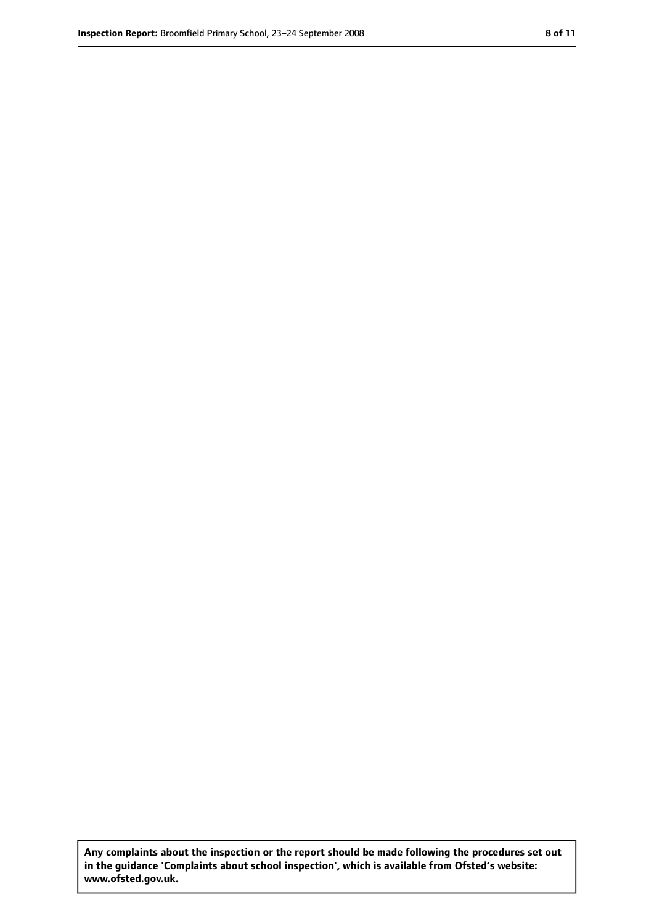**Any complaints about the inspection or the report should be made following the procedures set out in the guidance 'Complaints about school inspection', which is available from Ofsted's website: www.ofsted.gov.uk.**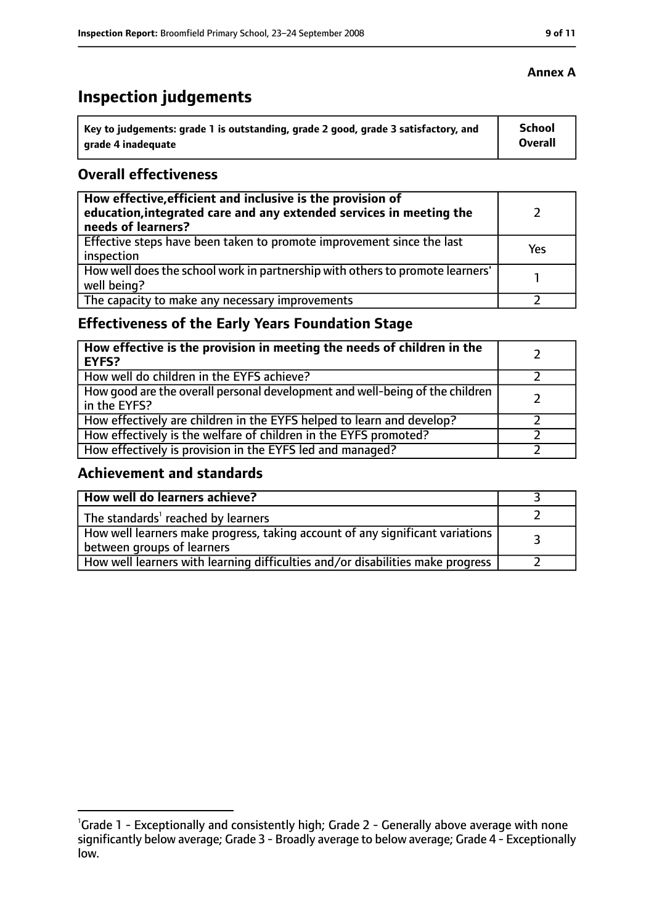# **Inspection judgements**

| Key to judgements: grade 1 is outstanding, grade 2 good, grade 3 satisfactory, and | <b>School</b>  |
|------------------------------------------------------------------------------------|----------------|
| arade 4 inadequate                                                                 | <b>Overall</b> |

#### **Overall effectiveness**

| How effective, efficient and inclusive is the provision of<br>education, integrated care and any extended services in meeting the<br>needs of learners? |     |
|---------------------------------------------------------------------------------------------------------------------------------------------------------|-----|
| Effective steps have been taken to promote improvement since the last<br>inspection                                                                     | Yes |
| How well does the school work in partnership with others to promote learners'<br>well being?                                                            |     |
| The capacity to make any necessary improvements                                                                                                         |     |

# **Effectiveness of the Early Years Foundation Stage**

| How effective is the provision in meeting the needs of children in the<br><b>EYFS?</b>       |  |
|----------------------------------------------------------------------------------------------|--|
| How well do children in the EYFS achieve?                                                    |  |
| How good are the overall personal development and well-being of the children<br>in the EYFS? |  |
| How effectively are children in the EYFS helped to learn and develop?                        |  |
| How effectively is the welfare of children in the EYFS promoted?                             |  |
| How effectively is provision in the EYFS led and managed?                                    |  |

### **Achievement and standards**

| How well do learners achieve?                                                  |  |
|--------------------------------------------------------------------------------|--|
| The standards <sup>1</sup> reached by learners                                 |  |
| How well learners make progress, taking account of any significant variations  |  |
| between groups of learners                                                     |  |
| How well learners with learning difficulties and/or disabilities make progress |  |

<sup>&</sup>lt;sup>1</sup>Grade 1 - Exceptionally and consistently high; Grade 2 - Generally above average with none significantly below average; Grade 3 - Broadly average to below average; Grade 4 - Exceptionally low.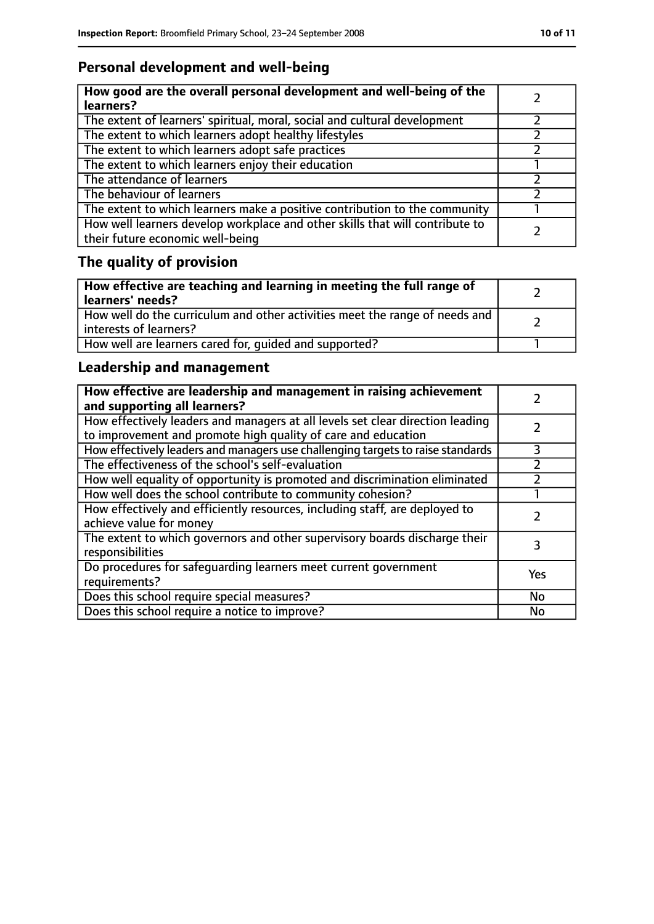# **Personal development and well-being**

| How good are the overall personal development and well-being of the<br>learners?                                 |  |
|------------------------------------------------------------------------------------------------------------------|--|
| The extent of learners' spiritual, moral, social and cultural development                                        |  |
| The extent to which learners adopt healthy lifestyles                                                            |  |
| The extent to which learners adopt safe practices                                                                |  |
| The extent to which learners enjoy their education                                                               |  |
| The attendance of learners                                                                                       |  |
| The behaviour of learners                                                                                        |  |
| The extent to which learners make a positive contribution to the community                                       |  |
| How well learners develop workplace and other skills that will contribute to<br>their future economic well-being |  |

# **The quality of provision**

| How effective are teaching and learning in meeting the full range of<br>learners' needs?              |  |
|-------------------------------------------------------------------------------------------------------|--|
| How well do the curriculum and other activities meet the range of needs and<br>interests of learners? |  |
| How well are learners cared for, quided and supported?                                                |  |

# **Leadership and management**

| How effective are leadership and management in raising achievement<br>and supporting all learners?                                              |           |
|-------------------------------------------------------------------------------------------------------------------------------------------------|-----------|
| How effectively leaders and managers at all levels set clear direction leading<br>to improvement and promote high quality of care and education |           |
| How effectively leaders and managers use challenging targets to raise standards                                                                 | 3         |
| The effectiveness of the school's self-evaluation                                                                                               |           |
| How well equality of opportunity is promoted and discrimination eliminated                                                                      |           |
| How well does the school contribute to community cohesion?                                                                                      |           |
| How effectively and efficiently resources, including staff, are deployed to<br>achieve value for money                                          |           |
| The extent to which governors and other supervisory boards discharge their<br>responsibilities                                                  | 3         |
| Do procedures for safequarding learners meet current government<br>requirements?                                                                | Yes       |
| Does this school require special measures?                                                                                                      | No        |
| Does this school require a notice to improve?                                                                                                   | <b>No</b> |